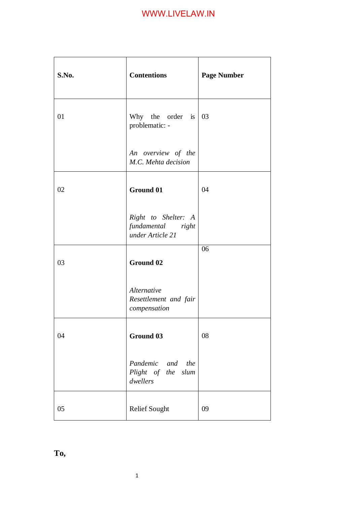| S.No. | <b>Contentions</b>                                                                        | <b>Page Number</b> |
|-------|-------------------------------------------------------------------------------------------|--------------------|
| 01    | Why the order is $\begin{array}{ c c } \hline 03 \\ \hline \end{array}$<br>problematic: - |                    |
|       | An overview of the<br>M.C. Mehta decision                                                 |                    |
| 02    | <b>Ground 01</b>                                                                          | 04                 |
|       | Right to Shelter: A<br>fundamental right<br>under Article 21                              |                    |
| 03    | Ground 02                                                                                 | 06                 |
|       | Alternative<br>Resettlement and fair<br>compensation                                      |                    |
| 04    | Ground 03                                                                                 | 08                 |
|       | Pandemic and the<br>Plight of the slum<br>dwellers                                        |                    |
| 05    | <b>Relief Sought</b>                                                                      | 09                 |

**To,**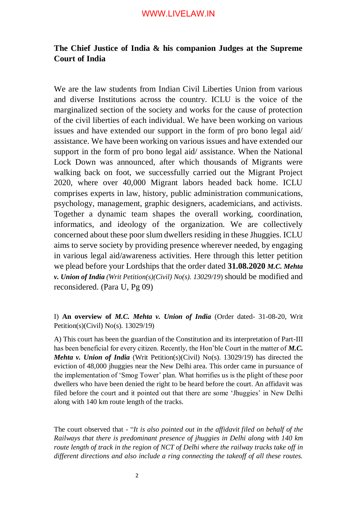### **The Chief Justice of India & his companion Judges at the Supreme Court of India**

We are the law students from Indian Civil Liberties Union from various and diverse Institutions across the country. ICLU is the voice of the marginalized section of the society and works for the cause of protection of the civil liberties of each individual. We have been working on various issues and have extended our support in the form of pro bono legal aid/ assistance. We have been working on various issues and have extended our support in the form of pro bono legal aid/ assistance. When the National Lock Down was announced, after which thousands of Migrants were walking back on foot, we successfully carried out the Migrant Project 2020, where over 40,000 Migrant labors headed back home. ICLU comprises experts in law, history, public administration communications, psychology, management, graphic designers, academicians, and activists. Together a dynamic team shapes the overall working, coordination, informatics, and ideology of the organization. We are collectively concerned about these poor slum dwellers residing in these Jhuggies. ICLU aims to serve society by providing presence wherever needed, by engaging in various legal aid/awareness activities. Here through this letter petition we plead before your Lordships that the order dated **31.08.2020** *M.C. Mehta v. Union of India (Writ Petition(s)(Civil) No(s). 13029/19*) should be modified and reconsidered. (Para U, Pg 09)

#### I) **An overview of** *M.C. Mehta v. Union of India* (Order dated- 31-08-20, Writ Petition(s)(Civil) No(s). 13029/19)

A) This court has been the guardian of the Constitution and its interpretation of Part-III has been beneficial for every citizen. Recently, the Hon'ble Court in the matter of *M.C. Mehta v. Union of India* (Writ Petition(s)(Civil) No(s). 13029/19) has directed the eviction of 48,000 jhuggies near the New Delhi area. This order came in pursuance of the implementation of 'Smog Tower' plan. What horrifies us is the plight of these poor dwellers who have been denied the right to be heard before the court. An affidavit was filed before the court and it pointed out that there are some 'Jhuggies' in New Delhi along with 140 km route length of the tracks.

The court observed that - "*It is also pointed out in the affidavit filed on behalf of the Railways that there is predominant presence of jhuggies in Delhi along with 140 km route length of track in the region of NCT of Delhi where the railway tracks take off in different directions and also include a ring connecting the takeoff of all these routes.*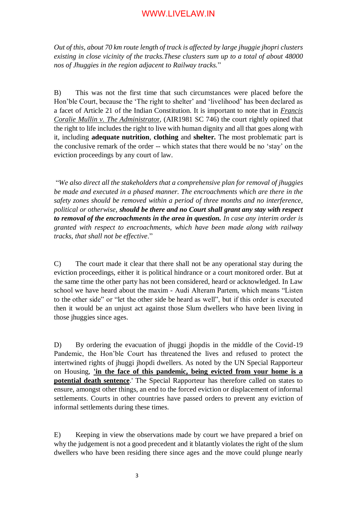*Out of this, about 70 km route length of track is affected by large jhuggie jhopri clusters existing in close vicinity of the tracks.These clusters sum up to a total of about 48000 nos of Jhuggies in the region adjacent to Railway tracks.*"

B) This was not the first time that such circumstances were placed before the Hon'ble Court, because the 'The right to shelter' and 'livelihood' has been declared as a facet of Article 21 of the Indian Constitution. It is important to note that in *[Francis](https://indiankanoon.org/doc/78536/)  Coralie [Mullin v. The Administrato](https://indiankanoon.org/doc/78536/)*[r,](https://indiankanoon.org/doc/78536/) (AIR1981 SC 746) the court rightly opined that the right to life includes the right to live with human dignity and all that goes along with it, including **adequate nutrition**, **clothing** and **shelter.** The most problematic part is the conclusive remark of the order -- which states that there would be no 'stay' on the eviction proceedings by any court of law.

"*We also direct all the stakeholders that a comprehensive plan for removal of jhuggies be made and executed in a phased manner. The encroachments which are there in the safety zones should be removed within a period of three months and no interference, political or otherwise, should be there and no Court shall grant any stay with respect to removal of the encroachments in the area in question. In case any interim order is granted with respect to encroachments, which have been made along with railway tracks, that shall not be effective*."

C) The court made it clear that there shall not be any operational stay during the eviction proceedings, either it is political hindrance or a court monitored order. But at the same time the other party has not been considered, heard or acknowledged. In Law school we have heard about the maxim - Audi Alteram Partem, which means "Listen to the other side" or "let the other side be heard as well", but if this order is executed then it would be an unjust act against those Slum dwellers who have been living in those jhuggies since ages.

D) By ordering the evacuation of jhuggi jhopdis in the middle of the Covid-19 Pandemic, the Hon'ble Court has threatened the lives and refused to protect the intertwined rights of jhuggi jhopdi dwellers. As noted by the UN Special Rapporteur on Housing, **'in the face of this pandemic, being evicted from your home is a potential death sentence**.' The Special Rapporteur has therefore called on states to ensure, amongst other things, an end to the forced eviction or displacement of informal settlements. Courts in other countries have passed orders to prevent any eviction of informal settlements during these times.

E) Keeping in view the observations made by court we have prepared a brief on why the judgement is not a good precedent and it blatantly violates the right of the slum dwellers who have been residing there since ages and the move could plunge nearly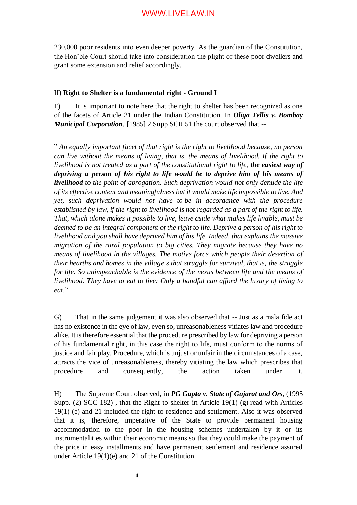230,000 poor residents into even deeper poverty. As the guardian of the Constitution, the Hon'ble Court should take into consideration the plight of these poor dwellers and grant some extension and relief accordingly.

#### II) **Right to Shelter is a fundamental right - Ground I**

F) It is important to note here that the right to shelter has been recognized as one of the facets of Article 21 under the Indian Constitution. In *Oliga Tellis v. Bombay Municipal Corporation*, [1985] 2 Supp SCR 51 the court observed that --

" *An equally important facet of that right is the right to livelihood because, no person can live without the means of living, that is, the means of livelihood. If the right to livelihood is not treated as a part of the constitutional right to life, the easiest way of depriving a person of his right to life would be to deprive him of his means of livelihood to the point of abrogation. Such deprivation would not only denude the life of its effective content and meaningfulness but it would make life impossible to live. And yet, such deprivation would not have to be in accordance with the procedure established by law, if the right to livelihood is not regarded as a part of the right to life. That, which alone makes it possible to live, leave aside what makes life livable, must be deemed to be an integral component of the right to life. Deprive a person of his right to livelihood and you shall have deprived him of his life. Indeed, that explains the massive migration of the rural population to big cities. They migrate because they have no means of livelihood in the villages. The motive force which people their desertion of their hearths and homes in the village s that struggle for survival, that is, the struggle for life. So unimpeachable is the evidence of the nexus between life and the means of livelihood. They have to eat to live: Only a handful can afford the luxury of living to ea*t."

G) That in the same judgement it was also observed that -- Just as a mala fide act has no existence in the eye of law, even so, unreasonableness vitiates law and procedure alike. It is therefore essential that the procedure prescribed by law for depriving a person of his fundamental right, in this case the right to life, must conform to the norms of justice and fair play. Procedure, which is unjust or unfair in the circumstances of a case, attracts the vice of unreasonableness, thereby vitiating the law which prescribes that procedure and consequently, the action taken under it.

H) The Supreme Court observed, in *PG Gupta v. State of Gujarat and Ors*, (1995 Supp. (2) SCC 182) , that the Right to shelter in [Article 19\(1\) \(g\)](https://indiankanoon.org/doc/935769/) read with Articles 19(1) (e) and 21 included the right to residence and settlement. Also it was observed that it is, therefore, imperative of the State to provide permanent housing accommodation to the poor in the housing schemes undertaken by it or its instrumentalities within their economic means so that they could make the payment of the price in easy installments and have permanent settlement and residence assured under [Article 19\(1\)\(e\)](https://indiankanoon.org/doc/844404/) and [21](https://indiankanoon.org/doc/1199182/) of the Constitution.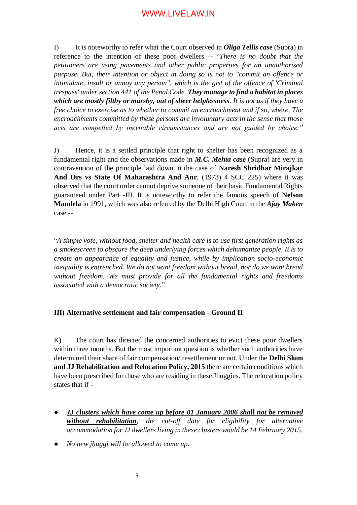I) It is noteworthy to refer what the Court observed in *Oliga Tellis case* (Supra) in reference to the intention of these poor dwellers -- "*There is no doubt that the petitioners are using pavements and other public properties for an unauthorised purpose. But, their intention or object in doing so is not to "commit an offence or intimidate, insult or annoy any person", which is the gist of the offence of 'Criminal trespass' under [section 441](https://indiankanoon.org/doc/1768645/) of the Penal Code. They manage to find a habitat in places which are mostly filthy or marshy, out of sheer helplessness. It is not as if they have a free choice to exercise as to whether to commit an encroachment and if so, where. The encroachments committed by these persons are involuntary acts in the sense that those acts are compelled by inevitable circumstances and are not guided by choice."*

J) Hence, it is a settled principle that right to shelter has been recognized as a fundamental right and the observations made in *M.C. Mehta case* (Supra) are very in contravention of the principle laid down in the case of **Naresh Shridhar Mirajkar And Ors vs State Of Maharashtra And Anr**, (1973) 4 SCC 225) where it was observed that the court order cannot deprive someone of their basic Fundamental Rights guaranteed under Part -III. It is noteworthy to refer the famous speech of **Nelson Mandela** in 1991, which was also referred by the Delhi High Court in the *Ajay Maken* case --

"*A simple vote, without food, shelter and health care is to use first generation rights as a smokescreen to obscure the deep underlying forces which dehumanize people. It is to create an appearance of equality and justice, while by implication socio-economic inequality is entrenched. We do not want freedom without bread, nor do we want bread without freedom. We must provide for all the fundamental rights and freedoms associated with a democratic society.*"

#### **III) Alternative settlement and fair compensation - Ground II**

K) The court has directed the concerned authorities to evict these poor dwellers within three months. But the most important question is whether such authorities have determined their share of fair compensation/ resettlement or not. Under the **Delhi Slum and JJ Rehabilitation and Relocation Policy, 2015** there are certain conditions which have been prescribed for those who are residing in these Jhuggies. The relocation policy states that if -

- *JJ clusters which have come up before 01 January 2006 shall not be removed without rehabilitation; the cut-off date for eligibility for alternative accommodation for JJ dwellers living in these clusters would be 14 February 2015.*
- *No new jhuggi will be allowed to come up.*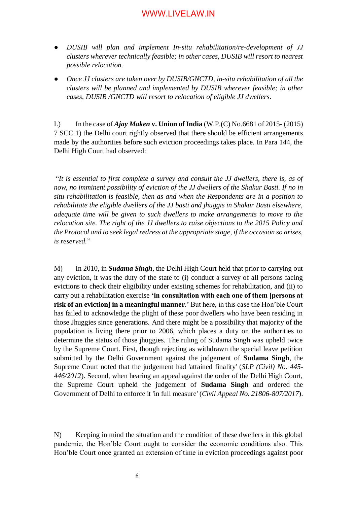- *DUSIB will plan and implement In-situ rehabilitation/re-development of JJ clusters wherever technically feasible; in other cases, DUSIB will resort to nearest possible relocation.*
- *Once JJ clusters are taken over by DUSIB/GNCTD, in-situ rehabilitation of all the clusters will be planned and implemented by DUSIB wherever feasible; in other cases, DUSIB /GNCTD will resort to relocation of eligible JJ dwellers*.

L) In the case of *Ajay Maken* **v. Union of India** (W.P.(C) No.6681 of 2015- (2015) 7 SCC 1) the Delhi court rightly observed that there should be efficient arrangements made by the authorities before such eviction proceedings takes place. In Para 144, the Delhi High Court had observed:

"*It is essential to first complete a survey and consult the JJ dwellers, there is, as of now, no imminent possibility of eviction of the JJ dwellers of the Shakur Basti. If no in situ rehabilitation is feasible, then as and when the Respondents are in a position to rehabilitate the eligible dwellers of the JJ basti and jhuggis in Shakur Basti elsewhere, adequate time will be given to such dwellers to make arrangements to move to the relocation site. The right of the JJ dwellers to raise objections to the 2015 Policy and the Protocol and to seek legal redress at the appropriate stage, if the occasion so arises, is reserved.*"

M) In 2010, in *[Sudama Singh](https://indiankanoon.org/doc/39539866/)*, the Delhi High Court held that prior to carrying out any eviction, it was the duty of the state to (i) conduct a survey of all persons facing evictions to check their eligibility under existing schemes for rehabilitation, and (ii) to carry out a rehabilitation exercise **'in consultation with each one of them [persons at risk of an eviction] in a meaningful manner**.' But here, in this case the Hon'ble Court has failed to acknowledge the plight of these poor dwellers who have been residing in those Jhuggies since generations. And there might be a possibility that majority of the population is living there prior to 2006, which places a duty on the authorities to determine the status of those jhuggies. The ruling of Sudama Singh was upheld twice by the Supreme Court. First, though rejecting as withdrawn the special leave petition submitted by the Delhi Government against the judgement of **Sudama Singh**, the Supreme Court noted that the judgement had 'attained finality' (*SLP (Civil) No. 445- 446/2012*). Second, when hearing an appeal against the order of the Delhi High Court, the Supreme Court upheld the judgement of **Sudama Singh** and ordered the Government of Delhi to enforce it 'in full measure' (*Civil Appeal No. 21806-807/2017*).

N) Keeping in mind the situation and the condition of these dwellers in this global pandemic, the Hon'ble Court ought to consider the economic conditions also. This Hon'ble Court once granted an extension of time in eviction proceedings against poor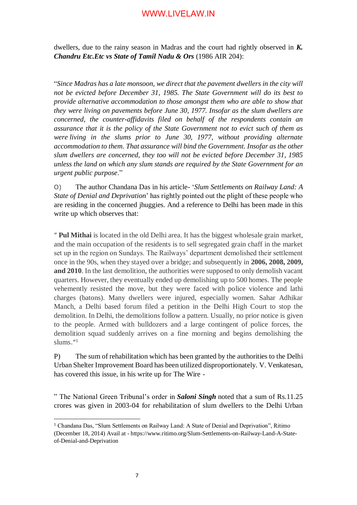dwellers, due to the rainy season in Madras and the court had rightly observed in *K. Chandru Etc.Etc vs State of Tamil Nadu & Ors* (1986 AIR 204):

"*Since Madras has a late monsoon, we direct that the pavement dwellers in the city will not be evicted before December 31, 1985. The State Government will do its best to provide alternative accommodation to those amongst them who are able to show that they were living on pavements before June 30, 1977. Insofar as the slum dwellers are concerned, the counter-affidavits filed on behalf of the respondents contain an assurance that it is the policy of the State Government not to evict such of them as were living in the slums prior to June 30, 1977, without providing alternate accommodation to them. That assurance will bind the Government. Insofar as the other slum dwellers are concerned, they too will not be evicted before December 31, 1985 unless the land on which any slum stands are required by the State Government for an urgent public purpose*."

O) The author Chandana Das in his article- '*Slum Settlements on Railway Land: A State of Denial and Deprivation*' has rightly pointed out the plight of these people who are residing in the concerned jhuggies. And a reference to Delhi has been made in this write up which observes that:

" **Pul Mithai** is located in the old Delhi area. It has the biggest wholesale grain market, and the main occupation of the residents is to sell segregated grain chaff in the market set up in the region on Sundays. The Railways' department demolished their settlement once in the 90s, when they stayed over a bridge; and subsequently in **2006, 2008, 2009, and 2010**. In the last demolition, the authorities were supposed to only demolish vacant quarters. However, they eventually ended up demolishing up to 500 homes. The people vehemently resisted the move, but they were faced with police violence and lathi charges (batons). Many dwellers were injured, especially women. Sahar Adhikar Manch, a Delhi based forum filed a petition in the Delhi High Court to stop the demolition. In Delhi, the demolitions follow a pattern. Usually, no prior notice is given to the people. Armed with bulldozers and a large contingent of police forces, the demolition squad suddenly arrives on a fine morning and begins demolishing the slums."<sup>1</sup>

P) The sum of rehabilitation which has been granted by the authorities to the Delhi Urban Shelter Improvement Board has been utilized disproportionately. [V. Venkatesan,](https://thewire.in/author/v-venkatesan) has covered this issue, in his write up for The Wire -

" The National Green Tribunal's order in *Saloni Singh* noted that a sum of Rs.11.25 crores was given in 2003-04 for rehabilitation of slum dwellers to the Delhi Urban

**.** 

<sup>1</sup> Chandana Das, "Slum Settlements on Railway Land: A State of Denial and Deprivation", Ritimo (December 18, 2014) Avail at - https://www.ritimo.org/Slum-Settlements-on-Railway-Land-A-Stateof-Denial-and-Deprivation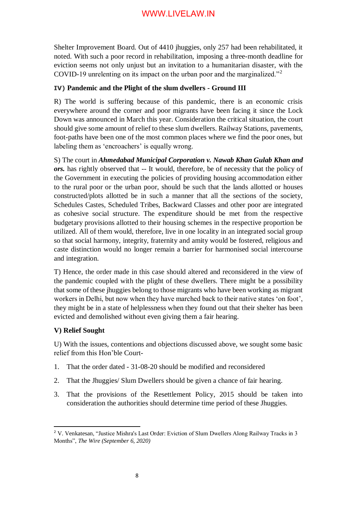Shelter Improvement Board. Out of 4410 jhuggies, only 257 had been rehabilitated, it noted. With such a poor record in rehabilitation, imposing a three-month deadline for eviction seems not only unjust but an invitation to a humanitarian disaster, with the COVID-19 unrelenting on its impact on the urban poor and the marginalized."<sup>2</sup>

#### **IV) Pandemic and the Plight of the slum dwellers - Ground III**

R) The world is suffering because of this pandemic, there is an economic crisis everywhere around the corner and poor migrants have been facing it since the Lock Down was announced in March this year. Consideration the critical situation, the court should give some amount of relief to these slum dwellers. Railway Stations, pavements, foot-paths have been one of the most common places where we find the poor ones, but labeling them as 'encroachers' is equally wrong.

S) The court in *Ahmedabad Municipal Corporation v. Nawab Khan Gulab Khan and ors.* has rightly observed that -- It would, therefore, be of necessity that the policy of the Government in executing the policies of providing housing accommodation either to the rural poor or the urban poor, should be such that the lands allotted or houses constructed/plots allotted be in such a manner that all the sections of the society, Schedules Castes, Scheduled Tribes, Backward Classes and other poor are integrated as cohesive social structure. The expenditure should be met from the respective budgetary provisions allotted to their housing schemes in the respective proportion be utilized. All of them would, therefore, live in one locality in an integrated social group so that social harmony, integrity, fraternity and amity would be fostered, religious and caste distinction would no longer remain a barrier for harmonised social intercourse and integration.

T) Hence, the order made in this case should altered and reconsidered in the view of the pandemic coupled with the plight of these dwellers. There might be a possibility that some of these jhuggies belong to those migrants who have been working as migrant workers in Delhi, but now when they have marched back to their native states 'on foot', they might be in a state of helplessness when they found out that their shelter has been evicted and demolished without even giving them a fair hearing.

#### **V) Relief Sought**

<u>.</u>

U) With the issues, contentions and objections discussed above, we sought some basic relief from this Hon'ble Court-

- 1. That the order dated 31-08-20 should be modified and reconsidered
- 2. That the Jhuggies/ Slum Dwellers should be given a chance of fair hearing.
- 3. That the provisions of the Resettlement Policy, 2015 should be taken into consideration the authorities should determine time period of these Jhuggies.

<sup>&</sup>lt;sup>2</sup> [V. Venkatesan,](https://thewire.in/author/v-venkatesan) "Justice Mishra's Last Order: Eviction of Slum Dwellers Along Railway Tracks in 3 Months", *The Wire (September 6, 2020)*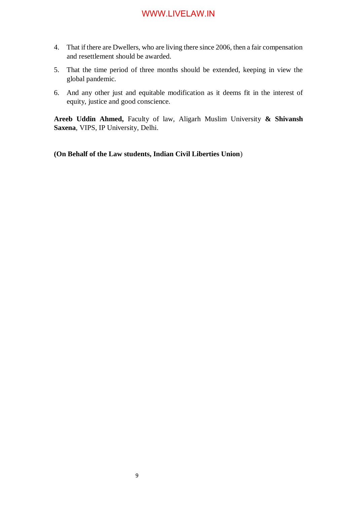- 4. That if there are Dwellers, who are living there since 2006, then a fair compensation and resettlement should be awarded.
- 5. That the time period of three months should be extended, keeping in view the global pandemic.
- 6. And any other just and equitable modification as it deems fit in the interest of equity, justice and good conscience.

**Areeb Uddin Ahmed,** Faculty of law, Aligarh Muslim University **& Shivansh Saxena**, VIPS, IP University, Delhi.

**(On Behalf of the Law students, Indian Civil Liberties Union**)